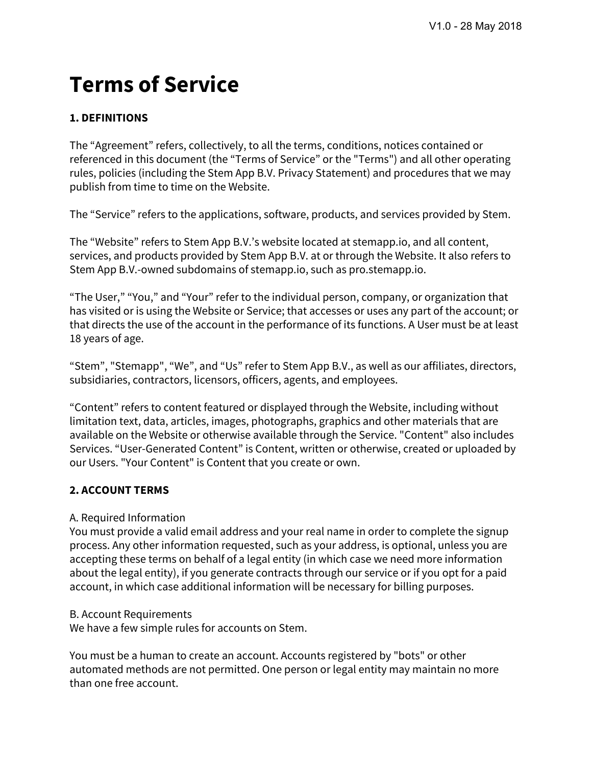# **Terms of Service**

# **1. DEFINITIONS**

The "Agreement" refers, collectively, to all the terms, conditions, notices contained or referenced in this document (the "Terms of Service" or the "Terms") and all other operating rules, policies (including the Stem App B.V. Privacy Statement) and procedures that we may publish from time to time on the Website.

The "Service" refers to the applications, software, products, and services provided by Stem.

The "Website" refers to Stem App B.V.'s website located at stemapp.io, and all content, services, and products provided by Stem App B.V. at or through the Website. It also refers to Stem App B.V.-owned subdomains of stemapp.io, such as pro.stemapp.io.

"The User," "You," and "Your" refer to the individual person, company, or organization that has visited or is using the Website or Service; that accesses or uses any part of the account; or that directs the use of the account in the performance of its functions. A User must be at least 18 years of age.

"Stem", "Stemapp", "We", and "Us" refer to Stem App B.V., as well as our affiliates, directors, subsidiaries, contractors, licensors, officers, agents, and employees.

"Content" refers to content featured or displayed through the Website, including without limitation text, data, articles, images, photographs, graphics and other materials that are available on the Website or otherwise available through the Service. "Content" also includes Services. "User-Generated Content" is Content, written or otherwise, created or uploaded by our Users. "Your Content" is Content that you create or own.

# **2. ACCOUNT TERMS**

# A. Required Information

You must provide a valid email address and your real name in order to complete the signup process. Any other information requested, such as your address, is optional, unless you are accepting these terms on behalf of a legal entity (in which case we need more information about the legal entity), if you generate contracts through our service or if you opt for a paid account, in which case additional information will be necessary for billing purposes.

# B. Account Requirements

We have a few simple rules for accounts on Stem.

You must be a human to create an account. Accounts registered by "bots" or other automated methods are not permitted. One person or legal entity may maintain no more than one free account.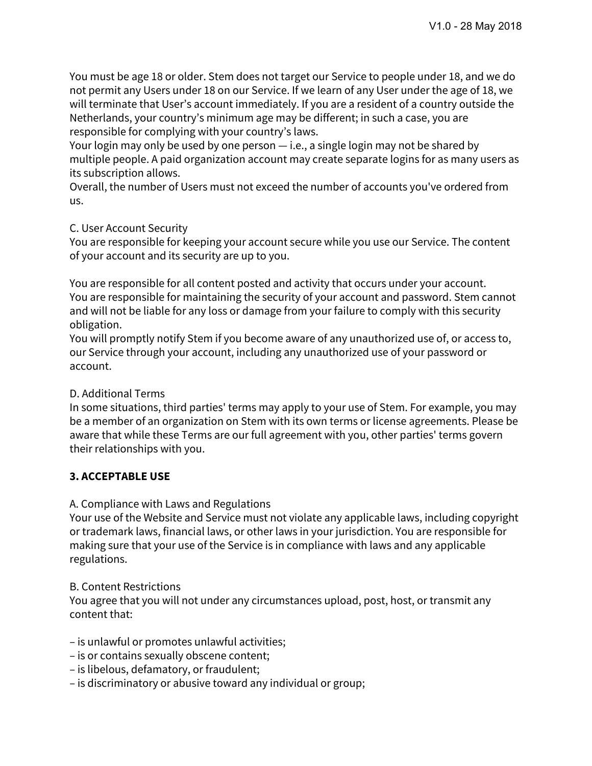You must be age 18 or older. Stem does not target our Service to people under 18, and we do not permit any Users under 18 on our Service. If we learn of any User under the age of 18, we will terminate that User's account immediately. If you are a resident of a country outside the Netherlands, your country's minimum age may be different; in such a case, you are responsible for complying with your country's laws.

Your login may only be used by one person — i.e., a single login may not be shared by multiple people. A paid organization account may create separate logins for as many users as its subscription allows.

Overall, the number of Users must not exceed the number of accounts you've ordered from us.

# C. User Account Security

You are responsible for keeping your account secure while you use our Service. The content of your account and its security are up to you.

You are responsible for all content posted and activity that occurs under your account. You are responsible for maintaining the security of your account and password. Stem cannot and will not be liable for any loss or damage from your failure to comply with this security obligation.

You will promptly notify Stem if you become aware of any unauthorized use of, or access to, our Service through your account, including any unauthorized use of your password or account.

# D. Additional Terms

In some situations, third parties' terms may apply to your use of Stem. For example, you may be a member of an organization on Stem with its own terms or license agreements. Please be aware that while these Terms are our full agreement with you, other parties' terms govern their relationships with you.

# **3. ACCEPTABLE USE**

# A. Compliance with Laws and Regulations

Your use of the Website and Service must not violate any applicable laws, including copyright or trademark laws, financial laws, or other laws in your jurisdiction. You are responsible for making sure that your use of the Service is in compliance with laws and any applicable regulations.

# B. Content Restrictions

You agree that you will not under any circumstances upload, post, host, or transmit any content that:

– is unlawful or promotes unlawful activities;

- is or contains sexually obscene content;
- is libelous, defamatory, or fraudulent;
- is discriminatory or abusive toward any individual or group;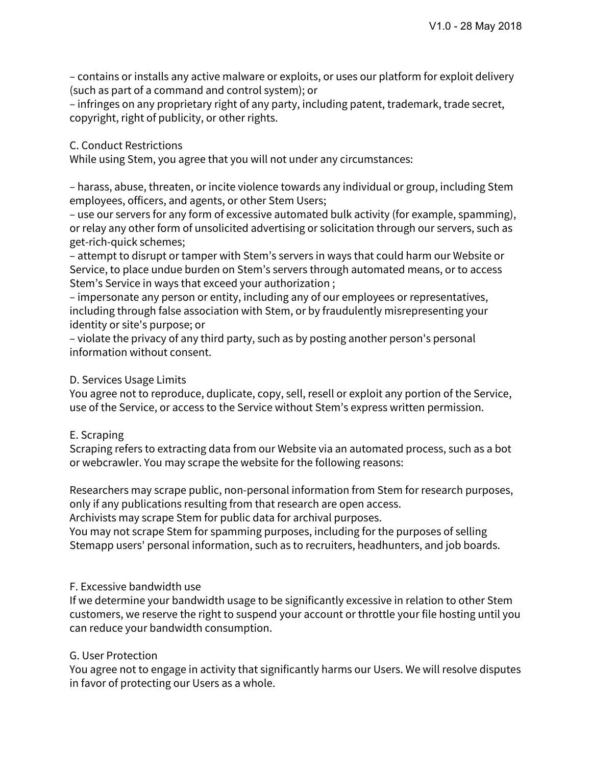– contains or installs any active malware or exploits, or uses our platform for exploit delivery (such as part of a command and control system); or

– infringes on any proprietary right of any party, including patent, trademark, trade secret, copyright, right of publicity, or other rights.

#### C. Conduct Restrictions

While using Stem, you agree that you will not under any circumstances:

– harass, abuse, threaten, or incite violence towards any individual or group, including Stem employees, officers, and agents, or other Stem Users;

– use our servers for any form of excessive automated bulk activity (for example, spamming), or relay any other form of unsolicited advertising or solicitation through our servers, such as get-rich-quick schemes;

– attempt to disrupt or tamper with Stem's servers in ways that could harm our Website or Service, to place undue burden on Stem's servers through automated means, or to access Stem's Service in ways that exceed your authorization ;

– impersonate any person or entity, including any of our employees or representatives, including through false association with Stem, or by fraudulently misrepresenting your identity or site's purpose; or

– violate the privacy of any third party, such as by posting another person's personal information without consent.

#### D. Services Usage Limits

You agree not to reproduce, duplicate, copy, sell, resell or exploit any portion of the Service, use of the Service, or access to the Service without Stem's express written permission.

#### E. Scraping

Scraping refers to extracting data from our Website via an automated process, such as a bot or webcrawler. You may scrape the website for the following reasons:

Researchers may scrape public, non-personal information from Stem for research purposes, only if any publications resulting from that research are open access.

Archivists may scrape Stem for public data for archival purposes.

You may not scrape Stem for spamming purposes, including for the purposes of selling Stemapp users' personal information, such as to recruiters, headhunters, and job boards.

# F. Excessive bandwidth use

If we determine your bandwidth usage to be significantly excessive in relation to other Stem customers, we reserve the right to suspend your account or throttle your file hosting until you can reduce your bandwidth consumption.

#### G. User Protection

You agree not to engage in activity that significantly harms our Users. We will resolve disputes in favor of protecting our Users as a whole.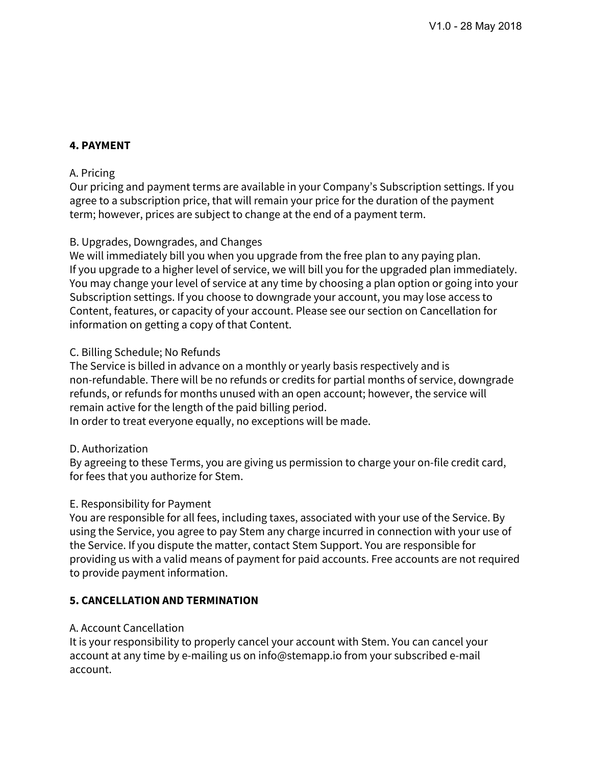# **4. PAYMENT**

# A. Pricing

Our pricing and payment terms are available in your Company's Subscription settings. If you agree to a subscription price, that will remain your price for the duration of the payment term; however, prices are subject to change at the end of a payment term.

# B. Upgrades, Downgrades, and Changes

We will immediately bill you when you upgrade from the free plan to any paying plan. If you upgrade to a higher level of service, we will bill you for the upgraded plan immediately. You may change your level of service at any time by choosing a plan option or going into your Subscription settings. If you choose to downgrade your account, you may lose access to Content, features, or capacity of your account. Please see our section on Cancellation for information on getting a copy of that Content.

# C. Billing Schedule; No Refunds

The Service is billed in advance on a monthly or yearly basis respectively and is non-refundable. There will be no refunds or credits for partial months of service, downgrade refunds, or refunds for months unused with an open account; however, the service will remain active for the length of the paid billing period.

In order to treat everyone equally, no exceptions will be made.

# D. Authorization

By agreeing to these Terms, you are giving us permission to charge your on-file credit card, for fees that you authorize for Stem.

# E. Responsibility for Payment

You are responsible for all fees, including taxes, associated with your use of the Service. By using the Service, you agree to pay Stem any charge incurred in connection with your use of the Service. If you dispute the matter, contact Stem Support. You are responsible for providing us with a valid means of payment for paid accounts. Free accounts are not required to provide payment information.

# **5. CANCELLATION AND TERMINATION**

# A. Account Cancellation

It is your responsibility to properly cancel your account with Stem. You can cancel your account at any time by e-mailing us on info@stemapp.io from your subscribed e-mail account.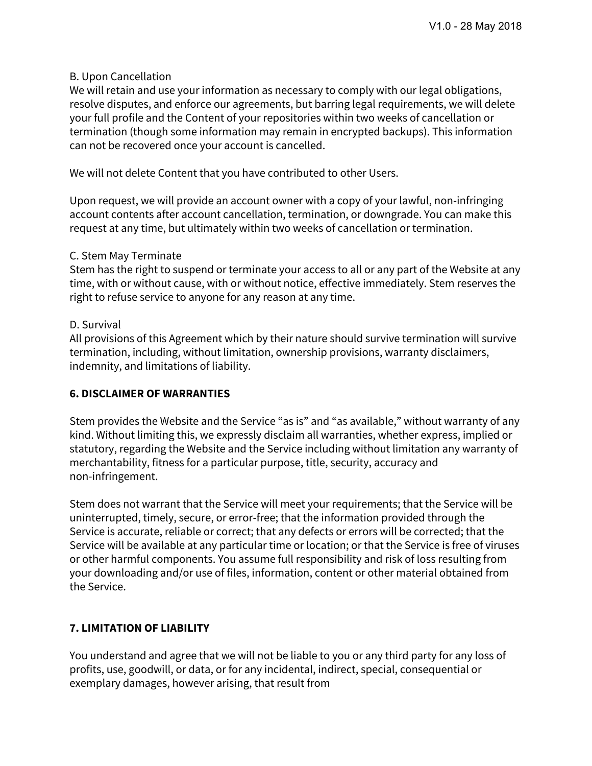# B. Upon Cancellation

We will retain and use your information as necessary to comply with our legal obligations, resolve disputes, and enforce our agreements, but barring legal requirements, we will delete your full profile and the Content of your repositories within two weeks of cancellation or termination (though some information may remain in encrypted backups). This information can not be recovered once your account is cancelled.

We will not delete Content that you have contributed to other Users.

Upon request, we will provide an account owner with a copy of your lawful, non-infringing account contents after account cancellation, termination, or downgrade. You can make this request at any time, but ultimately within two weeks of cancellation or termination.

#### C. Stem May Terminate

Stem has the right to suspend or terminate your access to all or any part of the Website at any time, with or without cause, with or without notice, effective immediately. Stem reserves the right to refuse service to anyone for any reason at any time.

#### D. Survival

All provisions of this Agreement which by their nature should survive termination will survive termination, including, without limitation, ownership provisions, warranty disclaimers, indemnity, and limitations of liability.

# **6. DISCLAIMER OF WARRANTIES**

Stem provides the Website and the Service "as is" and "as available," without warranty of any kind. Without limiting this, we expressly disclaim all warranties, whether express, implied or statutory, regarding the Website and the Service including without limitation any warranty of merchantability, fitness for a particular purpose, title, security, accuracy and non-infringement.

Stem does not warrant that the Service will meet your requirements; that the Service will be uninterrupted, timely, secure, or error-free; that the information provided through the Service is accurate, reliable or correct; that any defects or errors will be corrected; that the Service will be available at any particular time or location; or that the Service is free of viruses or other harmful components. You assume full responsibility and risk of loss resulting from your downloading and/or use of files, information, content or other material obtained from the Service.

# **7. LIMITATION OF LIABILITY**

You understand and agree that we will not be liable to you or any third party for any loss of profits, use, goodwill, or data, or for any incidental, indirect, special, consequential or exemplary damages, however arising, that result from